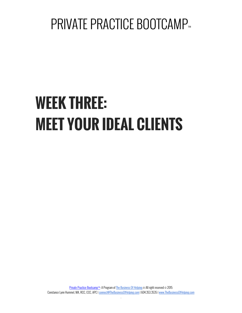# **WEEK THREE: MEET YOUR IDEAL CLIENTS**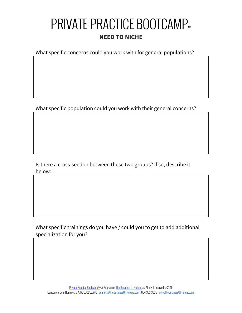#### **PRIVATE PRACTICE BOOTCAMP™ NEED TO NICHE**

What specific concerns could you work with for general populations?

What specific population could you work with their general concerns?

Is there a cross-section between these two groups? If so, describe it below:

What specific trainings do you have / could you to get to add additional specialization for you?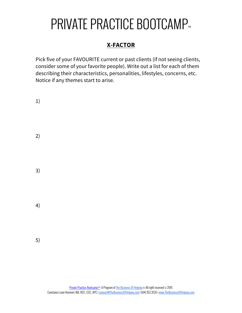#### **X-FACTOR**

Pick five of your FAVOURITE current or past clients (if not seeing clients, consider some of your favorite people). Write out a list for each of them describing their characteristics, personalities, lifestyles, concerns, etc. Notice if any themes start to arise.

| 1) |  |  |  |
|----|--|--|--|
| 2) |  |  |  |
| 3) |  |  |  |
| 4) |  |  |  |
| 5) |  |  |  |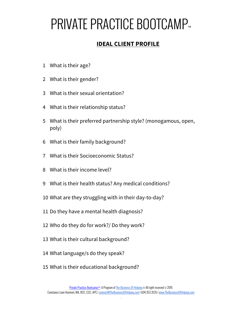#### **IDEAL CLIENT PROFILE**

- What is their age?
- What is their gender?
- What is their sexual orientation?
- What is their relationship status?
- What is their preferred partnership style? (monogamous, open, poly)
- What is their family background?
- What is their Socioeconomic Status?
- What is their income level?
- What is their health status? Any medical conditions?
- What are they struggling with in their day-to-day?
- Do they have a mental health diagnosis?
- Who do they do for work?/ Do they work?
- What is their cultural background?
- What language/s do they speak?
- What is their educational background?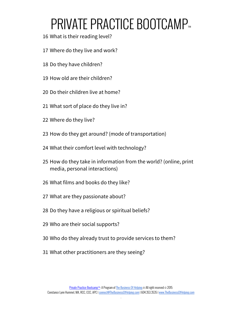- What is their reading level?
- Where do they live and work?
- Do they have children?
- How old are their children?
- Do their children live at home?
- What sort of place do they live in?
- Where do they live?
- How do they get around? (mode of transportation)
- What their comfort level with technology?
- How do they take in information from the world? (online, print media, personal interactions)
- What films and books do they like?
- What are they passionate about?
- Do they have a religious or spiritual beliefs?
- Who are their social supports?
- Who do they already trust to provide services to them?
- What other practitioners are they seeing?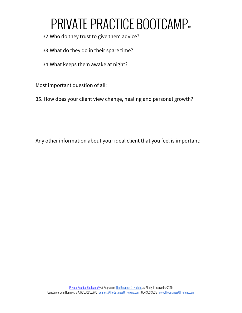- 32 Who do they trust to give them advice?
- 33 What do they do in their spare time?
- 34 What keeps them awake at night?

Most important question of all:

35. How does your client view change, healing and personal growth?

Any other information about your ideal client that you feel is important: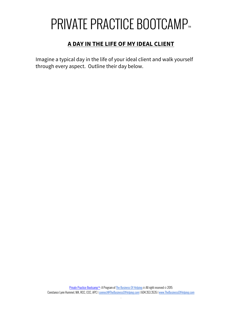#### **A DAY IN THE LIFE OF MY IDEAL CLIENT**

Imagine a typical day in the life of your ideal client and walk yourself through every aspect. Outline their day below.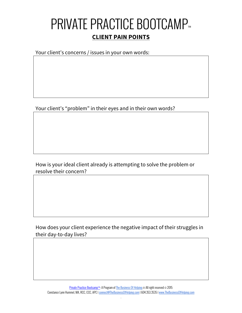#### **PRIVATE PRACTICE BOOTCAMP™ CLIENT PAIN POINTS**

Your client's concerns / issues in your own words:

Your client's "problem" in their eyes and in their own words?

How is your ideal client already is attempting to solve the problem or resolve their concern?

How does your client experience the negative impact of their struggles in their day-to-day lives?